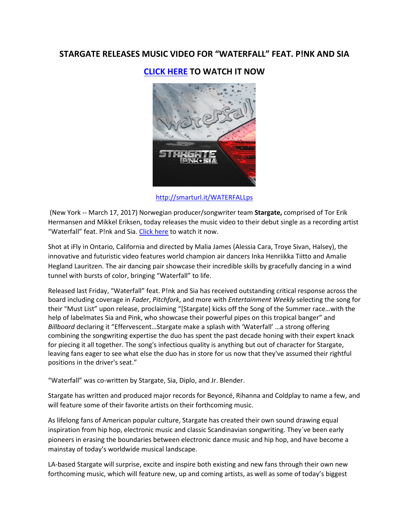# **STARGATE RELEASES MUSIC VIDEO FOR "WATERFALL" FEAT. P!NK AND SIA**

**[CLICK HERE](http://smarturl.it/WATERFALLv) TO WATCH IT NOW**



<http://smarturl.it/WATERFALLps>

(New York -- March 17, 2017) Norwegian producer/songwriter team **Stargate,** comprised of Tor Erik Hermansen and Mikkel Eriksen, today releases the music video to their debut single as a recording artist "Waterfall" feat. P!nk and Sia. [Click here](http://smarturl.it/WATERFALLv) to watch it now.

Shot at iFly in Ontario, California and directed by Malia James (Alessia Cara, Troye Sivan, Halsey), the innovative and futuristic video features world champion air dancers Inka Henriikka Tiitto and Amalie Hegland Lauritzen. The air dancing pair showcase their incredible skills by gracefully dancing in a wind tunnel with bursts of color, bringing "Waterfall" to life.

Released last Friday, "Waterfall" feat. P!nk and Sia has received outstanding critical response across the board including coverage in *Fader*, *Pitchfork*, and more with *Entertainment Weekly* selecting the song for their "Must List" upon release, proclaiming "[Stargate] kicks off the Song of the Summer race…with the help of labelmates Sia and Pink, who showcase their powerful pipes on this tropical banger" and *Billboard* declaring it "Effervescent…Stargate make a splash with 'Waterfall' …a strong offering combining the songwriting expertise the duo has spent the past decade honing with their expert knack for piecing it all together. The song's infectious quality is anything but out of character for Stargate, leaving fans eager to see what else the duo has in store for us now that they've assumed their rightful positions in the driver's seat."

"Waterfall" was co-written by Stargate, Sia, Diplo, and Jr. Blender.

Stargate has written and produced major records for Beyoncé, Rihanna and Coldplay to name a few, and will feature some of their favorite artists on their forthcoming music.

As lifelong fans of American popular culture, Stargate has created their own sound drawing equal inspiration from hip hop, electronic music and classic Scandinavian songwriting. They´ve been early pioneers in erasing the boundaries between electronic dance music and hip hop, and have become a mainstay of today's worldwide musical landscape.

LA-based Stargate will surprise, excite and inspire both existing and new fans through their own new forthcoming music, which will feature new, up and coming artists, as well as some of today's biggest